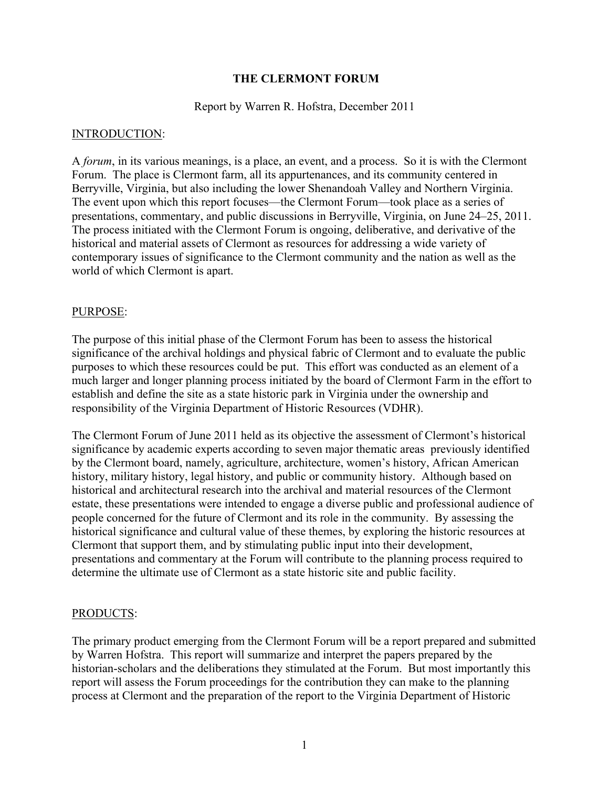# **THE CLERMONT FORUM**

# Report by Warren R. Hofstra, December 2011

### INTRODUCTION:

A *forum*, in its various meanings, is a place, an event, and a process. So it is with the Clermont Forum. The place is Clermont farm, all its appurtenances, and its community centered in Berryville, Virginia, but also including the lower Shenandoah Valley and Northern Virginia. The event upon which this report focuses—the Clermont Forum—took place as a series of presentations, commentary, and public discussions in Berryville, Virginia, on June 24–25, 2011. The process initiated with the Clermont Forum is ongoing, deliberative, and derivative of the historical and material assets of Clermont as resources for addressing a wide variety of contemporary issues of significance to the Clermont community and the nation as well as the world of which Clermont is apart.

## PURPOSE:

The purpose of this initial phase of the Clermont Forum has been to assess the historical significance of the archival holdings and physical fabric of Clermont and to evaluate the public purposes to which these resources could be put. This effort was conducted as an element of a much larger and longer planning process initiated by the board of Clermont Farm in the effort to establish and define the site as a state historic park in Virginia under the ownership and responsibility of the Virginia Department of Historic Resources (VDHR).

The Clermont Forum of June 2011 held as its objective the assessment of Clermont's historical significance by academic experts according to seven major thematic areas previously identified by the Clermont board, namely, agriculture, architecture, women's history, African American history, military history, legal history, and public or community history. Although based on historical and architectural research into the archival and material resources of the Clermont estate, these presentations were intended to engage a diverse public and professional audience of people concerned for the future of Clermont and its role in the community. By assessing the historical significance and cultural value of these themes, by exploring the historic resources at Clermont that support them, and by stimulating public input into their development, presentations and commentary at the Forum will contribute to the planning process required to determine the ultimate use of Clermont as a state historic site and public facility.

## PRODUCTS:

The primary product emerging from the Clermont Forum will be a report prepared and submitted by Warren Hofstra. This report will summarize and interpret the papers prepared by the historian-scholars and the deliberations they stimulated at the Forum. But most importantly this report will assess the Forum proceedings for the contribution they can make to the planning process at Clermont and the preparation of the report to the Virginia Department of Historic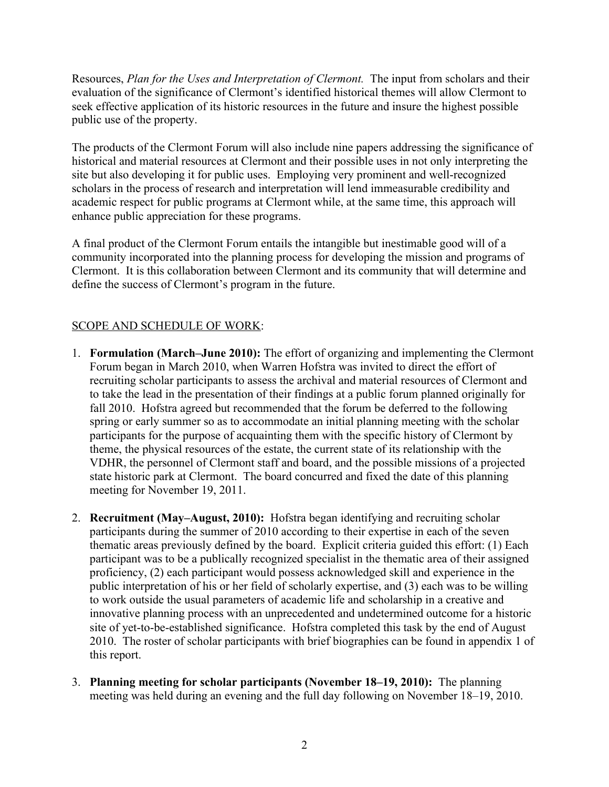Resources, *Plan for the Uses and Interpretation of Clermont.* The input from scholars and their evaluation of the significance of Clermont's identified historical themes will allow Clermont to seek effective application of its historic resources in the future and insure the highest possible public use of the property.

The products of the Clermont Forum will also include nine papers addressing the significance of historical and material resources at Clermont and their possible uses in not only interpreting the site but also developing it for public uses. Employing very prominent and well-recognized scholars in the process of research and interpretation will lend immeasurable credibility and academic respect for public programs at Clermont while, at the same time, this approach will enhance public appreciation for these programs.

A final product of the Clermont Forum entails the intangible but inestimable good will of a community incorporated into the planning process for developing the mission and programs of Clermont. It is this collaboration between Clermont and its community that will determine and define the success of Clermont's program in the future.

# SCOPE AND SCHEDULE OF WORK:

- 1. **Formulation (March–June 2010):** The effort of organizing and implementing the Clermont Forum began in March 2010, when Warren Hofstra was invited to direct the effort of recruiting scholar participants to assess the archival and material resources of Clermont and to take the lead in the presentation of their findings at a public forum planned originally for fall 2010. Hofstra agreed but recommended that the forum be deferred to the following spring or early summer so as to accommodate an initial planning meeting with the scholar participants for the purpose of acquainting them with the specific history of Clermont by theme, the physical resources of the estate, the current state of its relationship with the VDHR, the personnel of Clermont staff and board, and the possible missions of a projected state historic park at Clermont. The board concurred and fixed the date of this planning meeting for November 19, 2011.
- 2. **Recruitment (May–August, 2010):** Hofstra began identifying and recruiting scholar participants during the summer of 2010 according to their expertise in each of the seven thematic areas previously defined by the board. Explicit criteria guided this effort: (1) Each participant was to be a publically recognized specialist in the thematic area of their assigned proficiency, (2) each participant would possess acknowledged skill and experience in the public interpretation of his or her field of scholarly expertise, and (3) each was to be willing to work outside the usual parameters of academic life and scholarship in a creative and innovative planning process with an unprecedented and undetermined outcome for a historic site of yet-to-be-established significance. Hofstra completed this task by the end of August 2010. The roster of scholar participants with brief biographies can be found in appendix 1 of this report.
- 3. **Planning meeting for scholar participants (November 18–19, 2010):** The planning meeting was held during an evening and the full day following on November 18–19, 2010.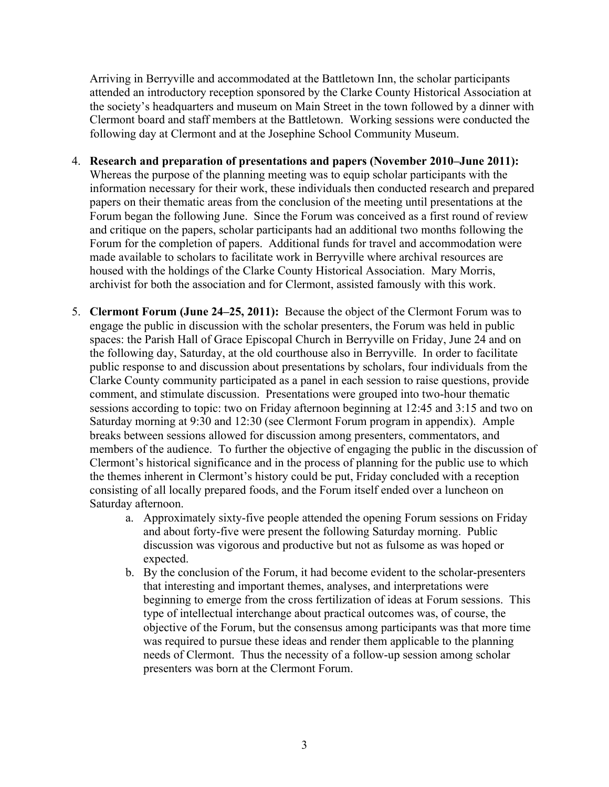Arriving in Berryville and accommodated at the Battletown Inn, the scholar participants attended an introductory reception sponsored by the Clarke County Historical Association at the society's headquarters and museum on Main Street in the town followed by a dinner with Clermont board and staff members at the Battletown. Working sessions were conducted the following day at Clermont and at the Josephine School Community Museum.

- 4. **Research and preparation of presentations and papers (November 2010–June 2011):**  Whereas the purpose of the planning meeting was to equip scholar participants with the information necessary for their work, these individuals then conducted research and prepared papers on their thematic areas from the conclusion of the meeting until presentations at the Forum began the following June. Since the Forum was conceived as a first round of review and critique on the papers, scholar participants had an additional two months following the Forum for the completion of papers. Additional funds for travel and accommodation were made available to scholars to facilitate work in Berryville where archival resources are housed with the holdings of the Clarke County Historical Association. Mary Morris, archivist for both the association and for Clermont, assisted famously with this work.
- 5. **Clermont Forum (June 24–25, 2011):** Because the object of the Clermont Forum was to engage the public in discussion with the scholar presenters, the Forum was held in public spaces: the Parish Hall of Grace Episcopal Church in Berryville on Friday, June 24 and on the following day, Saturday, at the old courthouse also in Berryville. In order to facilitate public response to and discussion about presentations by scholars, four individuals from the Clarke County community participated as a panel in each session to raise questions, provide comment, and stimulate discussion. Presentations were grouped into two-hour thematic sessions according to topic: two on Friday afternoon beginning at 12:45 and 3:15 and two on Saturday morning at 9:30 and 12:30 (see Clermont Forum program in appendix). Ample breaks between sessions allowed for discussion among presenters, commentators, and members of the audience. To further the objective of engaging the public in the discussion of Clermont's historical significance and in the process of planning for the public use to which the themes inherent in Clermont's history could be put, Friday concluded with a reception consisting of all locally prepared foods, and the Forum itself ended over a luncheon on Saturday afternoon.
	- a. Approximately sixty-five people attended the opening Forum sessions on Friday and about forty-five were present the following Saturday morning. Public discussion was vigorous and productive but not as fulsome as was hoped or expected.
	- b. By the conclusion of the Forum, it had become evident to the scholar-presenters that interesting and important themes, analyses, and interpretations were beginning to emerge from the cross fertilization of ideas at Forum sessions. This type of intellectual interchange about practical outcomes was, of course, the objective of the Forum, but the consensus among participants was that more time was required to pursue these ideas and render them applicable to the planning needs of Clermont. Thus the necessity of a follow-up session among scholar presenters was born at the Clermont Forum.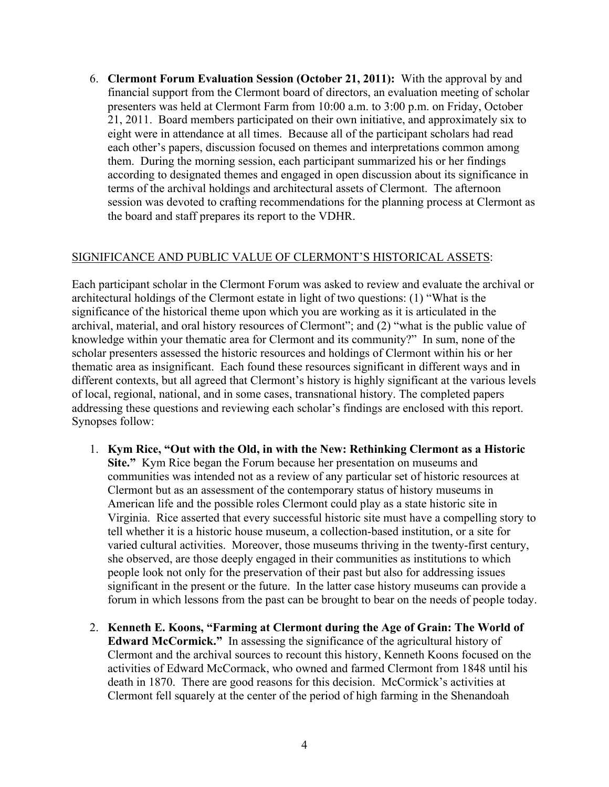6. **Clermont Forum Evaluation Session (October 21, 2011):** With the approval by and financial support from the Clermont board of directors, an evaluation meeting of scholar presenters was held at Clermont Farm from 10:00 a.m. to 3:00 p.m. on Friday, October 21, 2011. Board members participated on their own initiative, and approximately six to eight were in attendance at all times. Because all of the participant scholars had read each other's papers, discussion focused on themes and interpretations common among them. During the morning session, each participant summarized his or her findings according to designated themes and engaged in open discussion about its significance in terms of the archival holdings and architectural assets of Clermont. The afternoon session was devoted to crafting recommendations for the planning process at Clermont as the board and staff prepares its report to the VDHR.

# SIGNIFICANCE AND PUBLIC VALUE OF CLERMONT'S HISTORICAL ASSETS:

Each participant scholar in the Clermont Forum was asked to review and evaluate the archival or architectural holdings of the Clermont estate in light of two questions: (1) "What is the significance of the historical theme upon which you are working as it is articulated in the archival, material, and oral history resources of Clermont"; and (2) "what is the public value of knowledge within your thematic area for Clermont and its community?" In sum, none of the scholar presenters assessed the historic resources and holdings of Clermont within his or her thematic area as insignificant. Each found these resources significant in different ways and in different contexts, but all agreed that Clermont's history is highly significant at the various levels of local, regional, national, and in some cases, transnational history. The completed papers addressing these questions and reviewing each scholar's findings are enclosed with this report. Synopses follow:

- 1. **Kym Rice, "Out with the Old, in with the New: Rethinking Clermont as a Historic Site."** Kym Rice began the Forum because her presentation on museums and communities was intended not as a review of any particular set of historic resources at Clermont but as an assessment of the contemporary status of history museums in American life and the possible roles Clermont could play as a state historic site in Virginia. Rice asserted that every successful historic site must have a compelling story to tell whether it is a historic house museum, a collection-based institution, or a site for varied cultural activities. Moreover, those museums thriving in the twenty-first century, she observed, are those deeply engaged in their communities as institutions to which people look not only for the preservation of their past but also for addressing issues significant in the present or the future. In the latter case history museums can provide a forum in which lessons from the past can be brought to bear on the needs of people today.
- 2. **Kenneth E. Koons, "Farming at Clermont during the Age of Grain: The World of Edward McCormick."** In assessing the significance of the agricultural history of Clermont and the archival sources to recount this history, Kenneth Koons focused on the activities of Edward McCormack, who owned and farmed Clermont from 1848 until his death in 1870. There are good reasons for this decision. McCormick's activities at Clermont fell squarely at the center of the period of high farming in the Shenandoah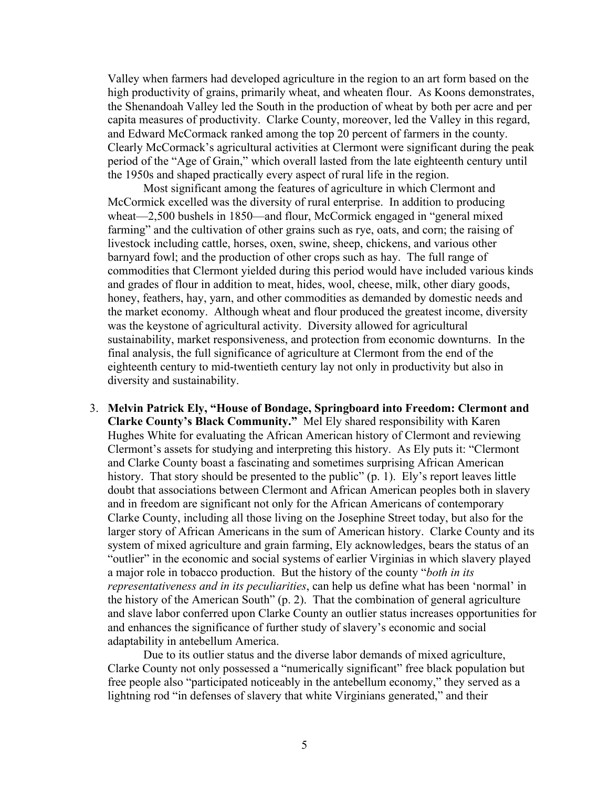Valley when farmers had developed agriculture in the region to an art form based on the high productivity of grains, primarily wheat, and wheaten flour. As Koons demonstrates, the Shenandoah Valley led the South in the production of wheat by both per acre and per capita measures of productivity. Clarke County, moreover, led the Valley in this regard, and Edward McCormack ranked among the top 20 percent of farmers in the county. Clearly McCormack's agricultural activities at Clermont were significant during the peak period of the "Age of Grain," which overall lasted from the late eighteenth century until the 1950s and shaped practically every aspect of rural life in the region.

Most significant among the features of agriculture in which Clermont and McCormick excelled was the diversity of rural enterprise. In addition to producing wheat—2,500 bushels in 1850—and flour, McCormick engaged in "general mixed farming" and the cultivation of other grains such as rye, oats, and corn; the raising of livestock including cattle, horses, oxen, swine, sheep, chickens, and various other barnyard fowl; and the production of other crops such as hay. The full range of commodities that Clermont yielded during this period would have included various kinds and grades of flour in addition to meat, hides, wool, cheese, milk, other diary goods, honey, feathers, hay, yarn, and other commodities as demanded by domestic needs and the market economy. Although wheat and flour produced the greatest income, diversity was the keystone of agricultural activity. Diversity allowed for agricultural sustainability, market responsiveness, and protection from economic downturns. In the final analysis, the full significance of agriculture at Clermont from the end of the eighteenth century to mid-twentieth century lay not only in productivity but also in diversity and sustainability.

3. **Melvin Patrick Ely, "House of Bondage, Springboard into Freedom: Clermont and Clarke County's Black Community."** Mel Ely shared responsibility with Karen Hughes White for evaluating the African American history of Clermont and reviewing Clermont's assets for studying and interpreting this history. As Ely puts it: "Clermont and Clarke County boast a fascinating and sometimes surprising African American history. That story should be presented to the public" (p. 1). Ely's report leaves little doubt that associations between Clermont and African American peoples both in slavery and in freedom are significant not only for the African Americans of contemporary Clarke County, including all those living on the Josephine Street today, but also for the larger story of African Americans in the sum of American history. Clarke County and its system of mixed agriculture and grain farming, Ely acknowledges, bears the status of an "outlier" in the economic and social systems of earlier Virginias in which slavery played a major role in tobacco production. But the history of the county "*both in its representativeness and in its peculiarities*, can help us define what has been 'normal' in the history of the American South" (p. 2). That the combination of general agriculture and slave labor conferred upon Clarke County an outlier status increases opportunities for and enhances the significance of further study of slavery's economic and social adaptability in antebellum America.

Due to its outlier status and the diverse labor demands of mixed agriculture, Clarke County not only possessed a "numerically significant" free black population but free people also "participated noticeably in the antebellum economy," they served as a lightning rod "in defenses of slavery that white Virginians generated," and their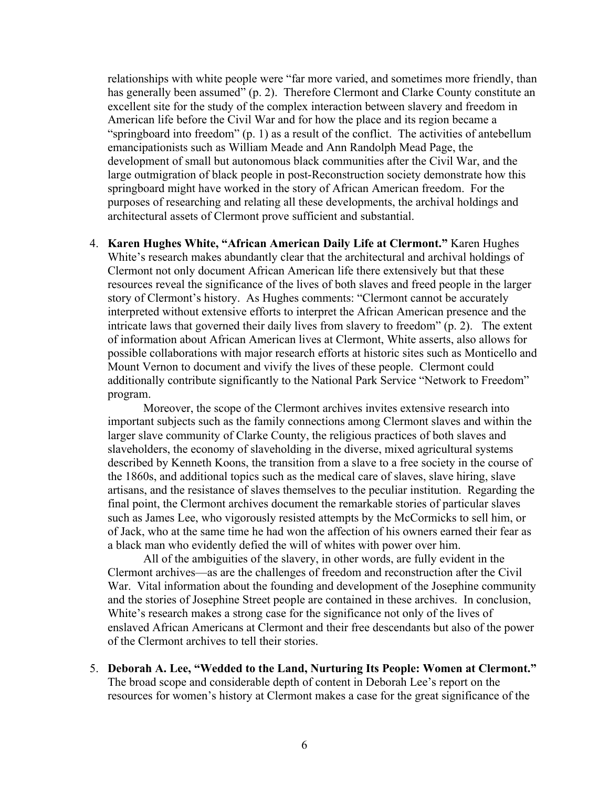relationships with white people were "far more varied, and sometimes more friendly, than has generally been assumed" (p. 2). Therefore Clermont and Clarke County constitute an excellent site for the study of the complex interaction between slavery and freedom in American life before the Civil War and for how the place and its region became a "springboard into freedom" (p. 1) as a result of the conflict. The activities of antebellum emancipationists such as William Meade and Ann Randolph Mead Page, the development of small but autonomous black communities after the Civil War, and the large outmigration of black people in post-Reconstruction society demonstrate how this springboard might have worked in the story of African American freedom. For the purposes of researching and relating all these developments, the archival holdings and architectural assets of Clermont prove sufficient and substantial.

4. **Karen Hughes White, "African American Daily Life at Clermont."** Karen Hughes White's research makes abundantly clear that the architectural and archival holdings of Clermont not only document African American life there extensively but that these resources reveal the significance of the lives of both slaves and freed people in the larger story of Clermont's history. As Hughes comments: "Clermont cannot be accurately interpreted without extensive efforts to interpret the African American presence and the intricate laws that governed their daily lives from slavery to freedom" (p. 2). The extent of information about African American lives at Clermont, White asserts, also allows for possible collaborations with major research efforts at historic sites such as Monticello and Mount Vernon to document and vivify the lives of these people. Clermont could additionally contribute significantly to the National Park Service "Network to Freedom" program.

Moreover, the scope of the Clermont archives invites extensive research into important subjects such as the family connections among Clermont slaves and within the larger slave community of Clarke County, the religious practices of both slaves and slaveholders, the economy of slaveholding in the diverse, mixed agricultural systems described by Kenneth Koons, the transition from a slave to a free society in the course of the 1860s, and additional topics such as the medical care of slaves, slave hiring, slave artisans, and the resistance of slaves themselves to the peculiar institution. Regarding the final point, the Clermont archives document the remarkable stories of particular slaves such as James Lee, who vigorously resisted attempts by the McCormicks to sell him, or of Jack, who at the same time he had won the affection of his owners earned their fear as a black man who evidently defied the will of whites with power over him.

All of the ambiguities of the slavery, in other words, are fully evident in the Clermont archives—as are the challenges of freedom and reconstruction after the Civil War. Vital information about the founding and development of the Josephine community and the stories of Josephine Street people are contained in these archives. In conclusion, White's research makes a strong case for the significance not only of the lives of enslaved African Americans at Clermont and their free descendants but also of the power of the Clermont archives to tell their stories.

5. **Deborah A. Lee, "Wedded to the Land, Nurturing Its People: Women at Clermont."** The broad scope and considerable depth of content in Deborah Lee's report on the resources for women's history at Clermont makes a case for the great significance of the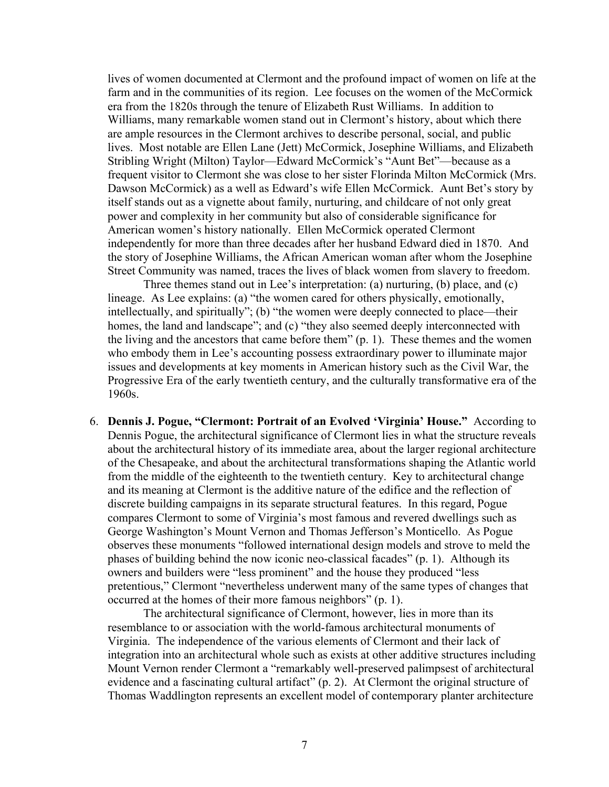lives of women documented at Clermont and the profound impact of women on life at the farm and in the communities of its region. Lee focuses on the women of the McCormick era from the 1820s through the tenure of Elizabeth Rust Williams. In addition to Williams, many remarkable women stand out in Clermont's history, about which there are ample resources in the Clermont archives to describe personal, social, and public lives. Most notable are Ellen Lane (Jett) McCormick, Josephine Williams, and Elizabeth Stribling Wright (Milton) Taylor—Edward McCormick's "Aunt Bet"—because as a frequent visitor to Clermont she was close to her sister Florinda Milton McCormick (Mrs. Dawson McCormick) as a well as Edward's wife Ellen McCormick. Aunt Bet's story by itself stands out as a vignette about family, nurturing, and childcare of not only great power and complexity in her community but also of considerable significance for American women's history nationally. Ellen McCormick operated Clermont independently for more than three decades after her husband Edward died in 1870. And the story of Josephine Williams, the African American woman after whom the Josephine Street Community was named, traces the lives of black women from slavery to freedom.

Three themes stand out in Lee's interpretation: (a) nurturing, (b) place, and (c) lineage. As Lee explains: (a) "the women cared for others physically, emotionally, intellectually, and spiritually"; (b) "the women were deeply connected to place—their homes, the land and landscape"; and (c) "they also seemed deeply interconnected with the living and the ancestors that came before them" (p. 1). These themes and the women who embody them in Lee's accounting possess extraordinary power to illuminate major issues and developments at key moments in American history such as the Civil War, the Progressive Era of the early twentieth century, and the culturally transformative era of the 1960s.

6. **Dennis J. Pogue, "Clermont: Portrait of an Evolved 'Virginia' House."** According to Dennis Pogue, the architectural significance of Clermont lies in what the structure reveals about the architectural history of its immediate area, about the larger regional architecture of the Chesapeake, and about the architectural transformations shaping the Atlantic world from the middle of the eighteenth to the twentieth century. Key to architectural change and its meaning at Clermont is the additive nature of the edifice and the reflection of discrete building campaigns in its separate structural features. In this regard, Pogue compares Clermont to some of Virginia's most famous and revered dwellings such as George Washington's Mount Vernon and Thomas Jefferson's Monticello. As Pogue observes these monuments "followed international design models and strove to meld the phases of building behind the now iconic neo-classical facades" (p. 1). Although its owners and builders were "less prominent" and the house they produced "less pretentious," Clermont "nevertheless underwent many of the same types of changes that occurred at the homes of their more famous neighbors" (p. 1).

The architectural significance of Clermont, however, lies in more than its resemblance to or association with the world-famous architectural monuments of Virginia. The independence of the various elements of Clermont and their lack of integration into an architectural whole such as exists at other additive structures including Mount Vernon render Clermont a "remarkably well-preserved palimpsest of architectural evidence and a fascinating cultural artifact" (p. 2). At Clermont the original structure of Thomas Waddlington represents an excellent model of contemporary planter architecture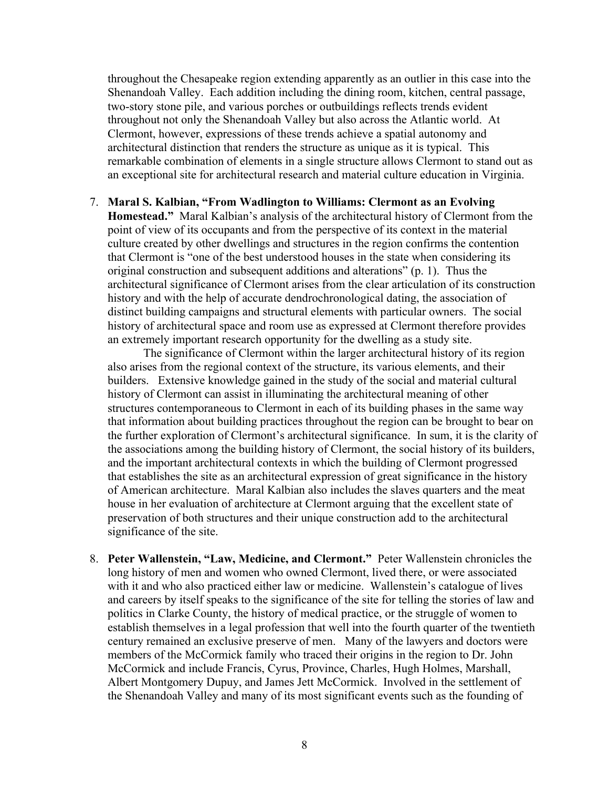throughout the Chesapeake region extending apparently as an outlier in this case into the Shenandoah Valley. Each addition including the dining room, kitchen, central passage, two-story stone pile, and various porches or outbuildings reflects trends evident throughout not only the Shenandoah Valley but also across the Atlantic world. At Clermont, however, expressions of these trends achieve a spatial autonomy and architectural distinction that renders the structure as unique as it is typical. This remarkable combination of elements in a single structure allows Clermont to stand out as an exceptional site for architectural research and material culture education in Virginia.

#### 7. **Maral S. Kalbian, "From Wadlington to Williams: Clermont as an Evolving**

**Homestead."** Maral Kalbian's analysis of the architectural history of Clermont from the point of view of its occupants and from the perspective of its context in the material culture created by other dwellings and structures in the region confirms the contention that Clermont is "one of the best understood houses in the state when considering its original construction and subsequent additions and alterations" (p. 1). Thus the architectural significance of Clermont arises from the clear articulation of its construction history and with the help of accurate dendrochronological dating, the association of distinct building campaigns and structural elements with particular owners. The social history of architectural space and room use as expressed at Clermont therefore provides an extremely important research opportunity for the dwelling as a study site.

The significance of Clermont within the larger architectural history of its region also arises from the regional context of the structure, its various elements, and their builders. Extensive knowledge gained in the study of the social and material cultural history of Clermont can assist in illuminating the architectural meaning of other structures contemporaneous to Clermont in each of its building phases in the same way that information about building practices throughout the region can be brought to bear on the further exploration of Clermont's architectural significance. In sum, it is the clarity of the associations among the building history of Clermont, the social history of its builders, and the important architectural contexts in which the building of Clermont progressed that establishes the site as an architectural expression of great significance in the history of American architecture. Maral Kalbian also includes the slaves quarters and the meat house in her evaluation of architecture at Clermont arguing that the excellent state of preservation of both structures and their unique construction add to the architectural significance of the site.

8. **Peter Wallenstein, "Law, Medicine, and Clermont."** Peter Wallenstein chronicles the long history of men and women who owned Clermont, lived there, or were associated with it and who also practiced either law or medicine. Wallenstein's catalogue of lives and careers by itself speaks to the significance of the site for telling the stories of law and politics in Clarke County, the history of medical practice, or the struggle of women to establish themselves in a legal profession that well into the fourth quarter of the twentieth century remained an exclusive preserve of men. Many of the lawyers and doctors were members of the McCormick family who traced their origins in the region to Dr. John McCormick and include Francis, Cyrus, Province, Charles, Hugh Holmes, Marshall, Albert Montgomery Dupuy, and James Jett McCormick. Involved in the settlement of the Shenandoah Valley and many of its most significant events such as the founding of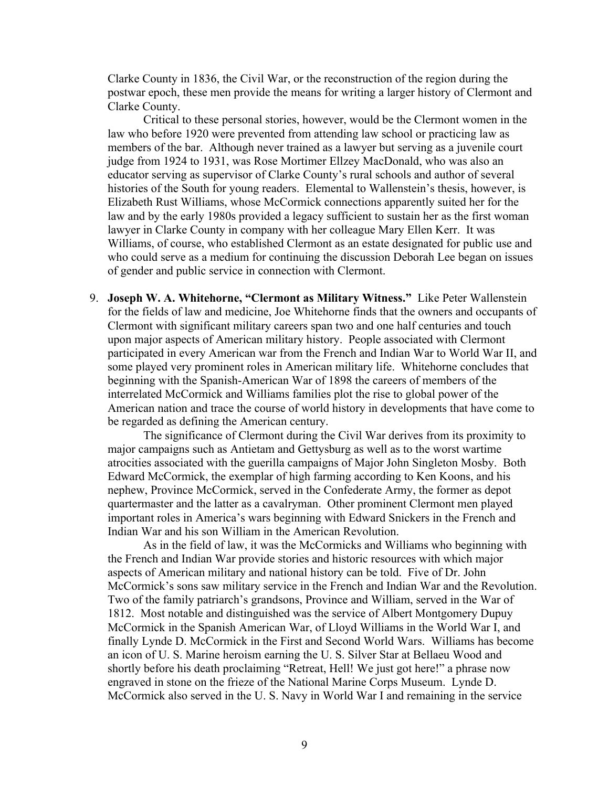Clarke County in 1836, the Civil War, or the reconstruction of the region during the postwar epoch, these men provide the means for writing a larger history of Clermont and Clarke County.

Critical to these personal stories, however, would be the Clermont women in the law who before 1920 were prevented from attending law school or practicing law as members of the bar. Although never trained as a lawyer but serving as a juvenile court judge from 1924 to 1931, was Rose Mortimer Ellzey MacDonald, who was also an educator serving as supervisor of Clarke County's rural schools and author of several histories of the South for young readers. Elemental to Wallenstein's thesis, however, is Elizabeth Rust Williams, whose McCormick connections apparently suited her for the law and by the early 1980s provided a legacy sufficient to sustain her as the first woman lawyer in Clarke County in company with her colleague Mary Ellen Kerr. It was Williams, of course, who established Clermont as an estate designated for public use and who could serve as a medium for continuing the discussion Deborah Lee began on issues of gender and public service in connection with Clermont.

9. **Joseph W. A. Whitehorne, "Clermont as Military Witness."** Like Peter Wallenstein for the fields of law and medicine, Joe Whitehorne finds that the owners and occupants of Clermont with significant military careers span two and one half centuries and touch upon major aspects of American military history. People associated with Clermont participated in every American war from the French and Indian War to World War II, and some played very prominent roles in American military life. Whitehorne concludes that beginning with the Spanish-American War of 1898 the careers of members of the interrelated McCormick and Williams families plot the rise to global power of the American nation and trace the course of world history in developments that have come to be regarded as defining the American century.

The significance of Clermont during the Civil War derives from its proximity to major campaigns such as Antietam and Gettysburg as well as to the worst wartime atrocities associated with the guerilla campaigns of Major John Singleton Mosby. Both Edward McCormick, the exemplar of high farming according to Ken Koons, and his nephew, Province McCormick, served in the Confederate Army, the former as depot quartermaster and the latter as a cavalryman. Other prominent Clermont men played important roles in America's wars beginning with Edward Snickers in the French and Indian War and his son William in the American Revolution.

As in the field of law, it was the McCormicks and Williams who beginning with the French and Indian War provide stories and historic resources with which major aspects of American military and national history can be told. Five of Dr. John McCormick's sons saw military service in the French and Indian War and the Revolution. Two of the family patriarch's grandsons, Province and William, served in the War of 1812. Most notable and distinguished was the service of Albert Montgomery Dupuy McCormick in the Spanish American War, of Lloyd Williams in the World War I, and finally Lynde D. McCormick in the First and Second World Wars. Williams has become an icon of U. S. Marine heroism earning the U. S. Silver Star at Bellaeu Wood and shortly before his death proclaiming "Retreat, Hell! We just got here!" a phrase now engraved in stone on the frieze of the National Marine Corps Museum. Lynde D. McCormick also served in the U. S. Navy in World War I and remaining in the service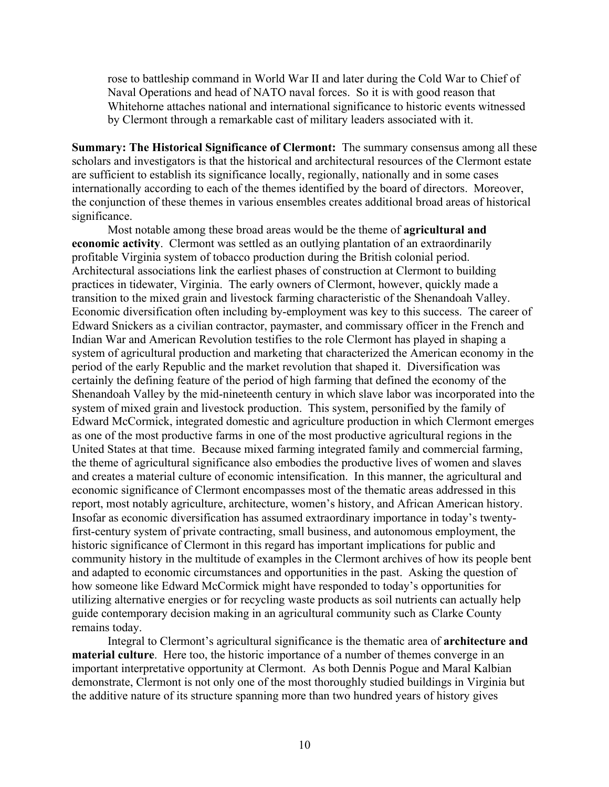rose to battleship command in World War II and later during the Cold War to Chief of Naval Operations and head of NATO naval forces. So it is with good reason that Whitehorne attaches national and international significance to historic events witnessed by Clermont through a remarkable cast of military leaders associated with it.

**Summary: The Historical Significance of Clermont:** The summary consensus among all these scholars and investigators is that the historical and architectural resources of the Clermont estate are sufficient to establish its significance locally, regionally, nationally and in some cases internationally according to each of the themes identified by the board of directors. Moreover, the conjunction of these themes in various ensembles creates additional broad areas of historical significance.

Most notable among these broad areas would be the theme of **agricultural and economic activity**. Clermont was settled as an outlying plantation of an extraordinarily profitable Virginia system of tobacco production during the British colonial period. Architectural associations link the earliest phases of construction at Clermont to building practices in tidewater, Virginia. The early owners of Clermont, however, quickly made a transition to the mixed grain and livestock farming characteristic of the Shenandoah Valley. Economic diversification often including by-employment was key to this success. The career of Edward Snickers as a civilian contractor, paymaster, and commissary officer in the French and Indian War and American Revolution testifies to the role Clermont has played in shaping a system of agricultural production and marketing that characterized the American economy in the period of the early Republic and the market revolution that shaped it. Diversification was certainly the defining feature of the period of high farming that defined the economy of the Shenandoah Valley by the mid-nineteenth century in which slave labor was incorporated into the system of mixed grain and livestock production. This system, personified by the family of Edward McCormick, integrated domestic and agriculture production in which Clermont emerges as one of the most productive farms in one of the most productive agricultural regions in the United States at that time. Because mixed farming integrated family and commercial farming, the theme of agricultural significance also embodies the productive lives of women and slaves and creates a material culture of economic intensification. In this manner, the agricultural and economic significance of Clermont encompasses most of the thematic areas addressed in this report, most notably agriculture, architecture, women's history, and African American history. Insofar as economic diversification has assumed extraordinary importance in today's twentyfirst-century system of private contracting, small business, and autonomous employment, the historic significance of Clermont in this regard has important implications for public and community history in the multitude of examples in the Clermont archives of how its people bent and adapted to economic circumstances and opportunities in the past. Asking the question of how someone like Edward McCormick might have responded to today's opportunities for utilizing alternative energies or for recycling waste products as soil nutrients can actually help guide contemporary decision making in an agricultural community such as Clarke County remains today.

Integral to Clermont's agricultural significance is the thematic area of **architecture and material culture**. Here too, the historic importance of a number of themes converge in an important interpretative opportunity at Clermont. As both Dennis Pogue and Maral Kalbian demonstrate, Clermont is not only one of the most thoroughly studied buildings in Virginia but the additive nature of its structure spanning more than two hundred years of history gives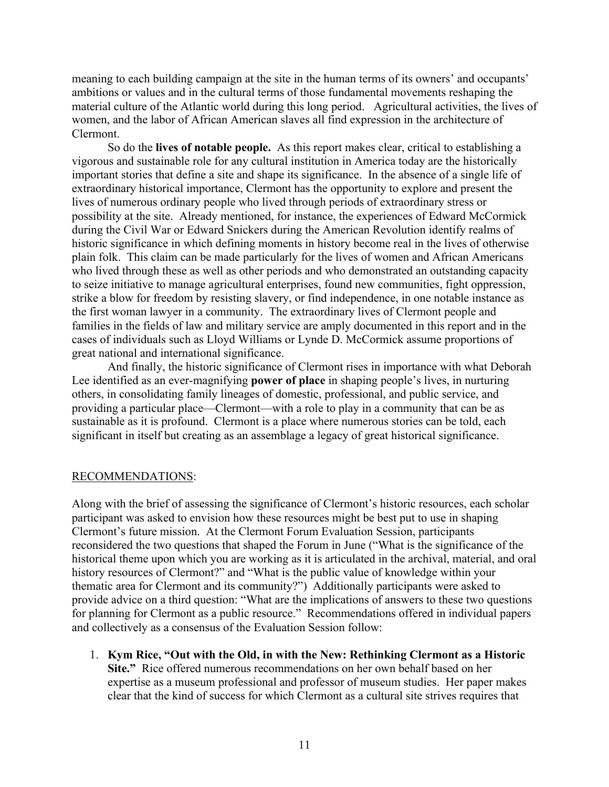meaning to each building campaign at the site in the human terms of its owners' and occupants' ambitions or values and in the cultural terms of those fundamental movements reshaping the material culture of the Atlantic world during this long period. Agricultural activities, the lives of women, and the labor of African American slaves all find expression in the architecture of Clermont.

So do the **lives of notable people.**As this report makes clear, critical to establishing a vigorous and sustainable role for any cultural institution in America today are the historically important stories that define a site and shape its significance. In the absence of a single life of extraordinary historical importance, Clermont has the opportunity to explore and present the lives of numerous ordinary people who lived through periods of extraordinary stress or possibility at the site. Already mentioned, for instance, the experiences of Edward McCormick during the Civil War or Edward Snickers during the American Revolution identify realms of historic significance in which defining moments in history become real in the lives of otherwise plain folk. This claim can be made particularly for the lives of women and African Americans who lived through these as well as other periods and who demonstrated an outstanding capacity to seize initiative to manage agricultural enterprises, found new communities, fight oppression, strike a blow for freedom by resisting slavery, or find independence, in one notable instance as the first woman lawyer in a community. The extraordinary lives of Clermont people and families in the fields of law and military service are amply documented in this report and in the cases of individuals such as Lloyd Williams or Lynde D. McCormick assume proportions of great national and international significance.

And finally, the historic significance of Clermont rises in importance with what Deborah Lee identified as an ever-magnifying **power of place** in shaping people's lives, in nurturing others, in consolidating family lineages of domestic, professional, and public service, and providing a particular place—Clermont—with a role to play in a community that can be as sustainable as it is profound. Clermont is a place where numerous stories can be told, each significant in itself but creating as an assemblage a legacy of great historical significance.

## RECOMMENDATIONS:

Along with the brief of assessing the significance of Clermont's historic resources, each scholar participant was asked to envision how these resources might be best put to use in shaping Clermont's future mission. At the Clermont Forum Evaluation Session, participants reconsidered the two questions that shaped the Forum in June ("What is the significance of the historical theme upon which you are working as it is articulated in the archival, material, and oral history resources of Clermont?" and "What is the public value of knowledge within your thematic area for Clermont and its community?") Additionally participants were asked to provide advice on a third question: "What are the implications of answers to these two questions for planning for Clermont as a public resource." Recommendations offered in individual papers and collectively as a consensus of the Evaluation Session follow:

1. **Kym Rice, "Out with the Old, in with the New: Rethinking Clermont as a Historic Site."** Rice offered numerous recommendations on her own behalf based on her expertise as a museum professional and professor of museum studies. Her paper makes clear that the kind of success for which Clermont as a cultural site strives requires that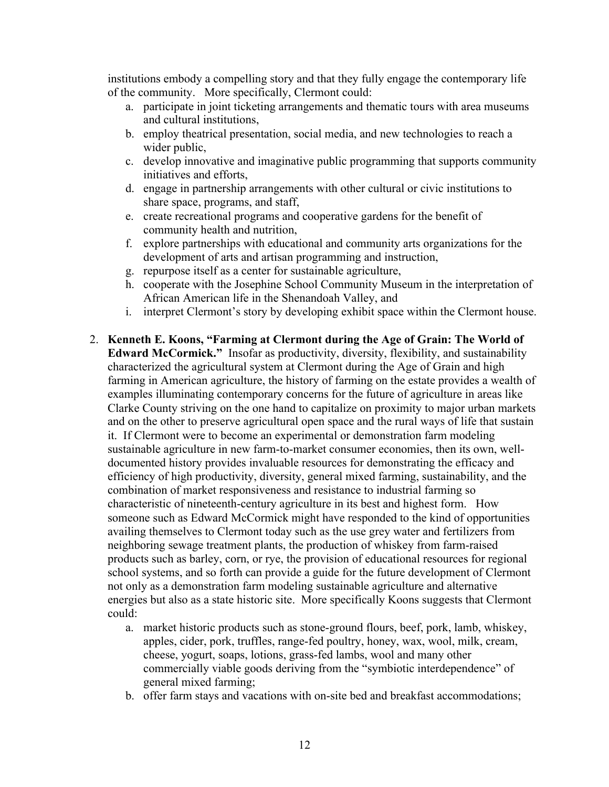institutions embody a compelling story and that they fully engage the contemporary life of the community. More specifically, Clermont could:

- a. participate in joint ticketing arrangements and thematic tours with area museums and cultural institutions,
- b. employ theatrical presentation, social media, and new technologies to reach a wider public,
- c. develop innovative and imaginative public programming that supports community initiatives and efforts,
- d. engage in partnership arrangements with other cultural or civic institutions to share space, programs, and staff,
- e. create recreational programs and cooperative gardens for the benefit of community health and nutrition,
- f. explore partnerships with educational and community arts organizations for the development of arts and artisan programming and instruction,
- g. repurpose itself as a center for sustainable agriculture,
- h. cooperate with the Josephine School Community Museum in the interpretation of African American life in the Shenandoah Valley, and
- i. interpret Clermont's story by developing exhibit space within the Clermont house.
- 2. **Kenneth E. Koons, "Farming at Clermont during the Age of Grain: The World of Edward McCormick."** Insofar as productivity, diversity, flexibility, and sustainability characterized the agricultural system at Clermont during the Age of Grain and high farming in American agriculture, the history of farming on the estate provides a wealth of examples illuminating contemporary concerns for the future of agriculture in areas like Clarke County striving on the one hand to capitalize on proximity to major urban markets and on the other to preserve agricultural open space and the rural ways of life that sustain it. If Clermont were to become an experimental or demonstration farm modeling sustainable agriculture in new farm-to-market consumer economies, then its own, welldocumented history provides invaluable resources for demonstrating the efficacy and efficiency of high productivity, diversity, general mixed farming, sustainability, and the combination of market responsiveness and resistance to industrial farming so characteristic of nineteenth-century agriculture in its best and highest form. How someone such as Edward McCormick might have responded to the kind of opportunities availing themselves to Clermont today such as the use grey water and fertilizers from neighboring sewage treatment plants, the production of whiskey from farm-raised products such as barley, corn, or rye, the provision of educational resources for regional school systems, and so forth can provide a guide for the future development of Clermont not only as a demonstration farm modeling sustainable agriculture and alternative energies but also as a state historic site. More specifically Koons suggests that Clermont could:
	- a. market historic products such as stone-ground flours, beef, pork, lamb, whiskey, apples, cider, pork, truffles, range-fed poultry, honey, wax, wool, milk, cream, cheese, yogurt, soaps, lotions, grass-fed lambs, wool and many other commercially viable goods deriving from the "symbiotic interdependence" of general mixed farming;
	- b. offer farm stays and vacations with on-site bed and breakfast accommodations;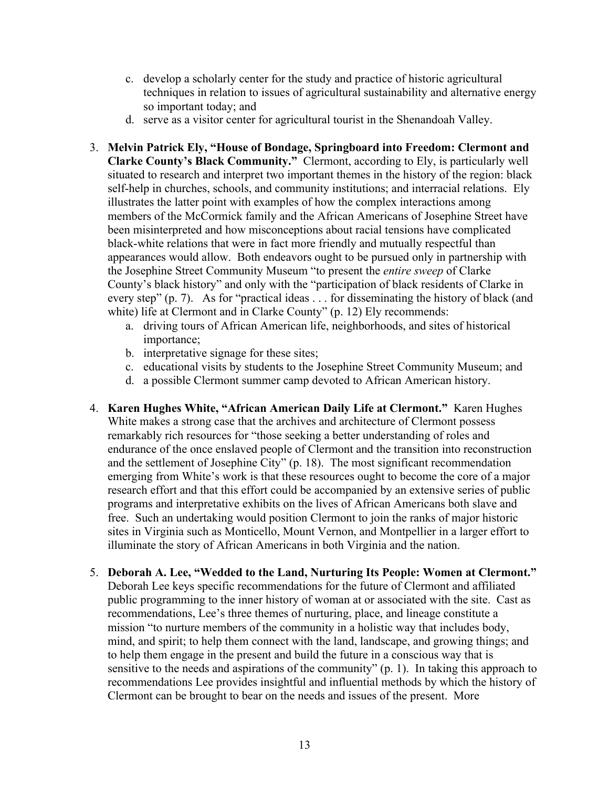- c. develop a scholarly center for the study and practice of historic agricultural techniques in relation to issues of agricultural sustainability and alternative energy so important today; and
- d. serve as a visitor center for agricultural tourist in the Shenandoah Valley.
- 3. **Melvin Patrick Ely, "House of Bondage, Springboard into Freedom: Clermont and Clarke County's Black Community."** Clermont, according to Ely, is particularly well situated to research and interpret two important themes in the history of the region: black self-help in churches, schools, and community institutions; and interracial relations. Ely illustrates the latter point with examples of how the complex interactions among members of the McCormick family and the African Americans of Josephine Street have been misinterpreted and how misconceptions about racial tensions have complicated black-white relations that were in fact more friendly and mutually respectful than appearances would allow. Both endeavors ought to be pursued only in partnership with the Josephine Street Community Museum "to present the *entire sweep* of Clarke County's black history" and only with the "participation of black residents of Clarke in every step" (p. 7). As for "practical ideas . . . for disseminating the history of black (and white) life at Clermont and in Clarke County" (p. 12) Ely recommends:
	- a. driving tours of African American life, neighborhoods, and sites of historical importance;
	- b. interpretative signage for these sites;
	- c. educational visits by students to the Josephine Street Community Museum; and
	- d. a possible Clermont summer camp devoted to African American history.
- 4. **Karen Hughes White, "African American Daily Life at Clermont."** Karen Hughes White makes a strong case that the archives and architecture of Clermont possess remarkably rich resources for "those seeking a better understanding of roles and endurance of the once enslaved people of Clermont and the transition into reconstruction and the settlement of Josephine City" (p. 18). The most significant recommendation emerging from White's work is that these resources ought to become the core of a major research effort and that this effort could be accompanied by an extensive series of public programs and interpretative exhibits on the lives of African Americans both slave and free. Such an undertaking would position Clermont to join the ranks of major historic sites in Virginia such as Monticello, Mount Vernon, and Montpellier in a larger effort to illuminate the story of African Americans in both Virginia and the nation.
- 5. **Deborah A. Lee, "Wedded to the Land, Nurturing Its People: Women at Clermont."** Deborah Lee keys specific recommendations for the future of Clermont and affiliated public programming to the inner history of woman at or associated with the site. Cast as recommendations, Lee's three themes of nurturing, place, and lineage constitute a mission "to nurture members of the community in a holistic way that includes body, mind, and spirit; to help them connect with the land, landscape, and growing things; and to help them engage in the present and build the future in a conscious way that is sensitive to the needs and aspirations of the community" (p. 1). In taking this approach to recommendations Lee provides insightful and influential methods by which the history of Clermont can be brought to bear on the needs and issues of the present. More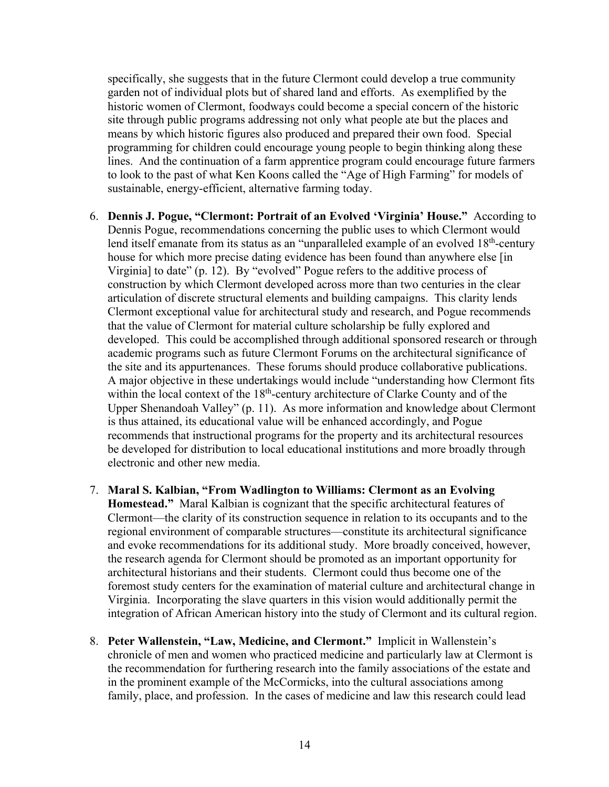specifically, she suggests that in the future Clermont could develop a true community garden not of individual plots but of shared land and efforts. As exemplified by the historic women of Clermont, foodways could become a special concern of the historic site through public programs addressing not only what people ate but the places and means by which historic figures also produced and prepared their own food. Special programming for children could encourage young people to begin thinking along these lines. And the continuation of a farm apprentice program could encourage future farmers to look to the past of what Ken Koons called the "Age of High Farming" for models of sustainable, energy-efficient, alternative farming today.

- 6. **Dennis J. Pogue, "Clermont: Portrait of an Evolved 'Virginia' House."** According to Dennis Pogue, recommendations concerning the public uses to which Clermont would lend itself emanate from its status as an "unparalleled example of an evolved  $18<sup>th</sup>$ -century house for which more precise dating evidence has been found than anywhere else [in Virginia] to date" (p. 12). By "evolved" Pogue refers to the additive process of construction by which Clermont developed across more than two centuries in the clear articulation of discrete structural elements and building campaigns. This clarity lends Clermont exceptional value for architectural study and research, and Pogue recommends that the value of Clermont for material culture scholarship be fully explored and developed. This could be accomplished through additional sponsored research or through academic programs such as future Clermont Forums on the architectural significance of the site and its appurtenances. These forums should produce collaborative publications. A major objective in these undertakings would include "understanding how Clermont fits within the local context of the  $18<sup>th</sup>$ -century architecture of Clarke County and of the Upper Shenandoah Valley" (p. 11). As more information and knowledge about Clermont is thus attained, its educational value will be enhanced accordingly, and Pogue recommends that instructional programs for the property and its architectural resources be developed for distribution to local educational institutions and more broadly through electronic and other new media.
- 7. **Maral S. Kalbian, "From Wadlington to Williams: Clermont as an Evolving Homestead."** Maral Kalbian is cognizant that the specific architectural features of Clermont—the clarity of its construction sequence in relation to its occupants and to the regional environment of comparable structures—constitute its architectural significance and evoke recommendations for its additional study. More broadly conceived, however, the research agenda for Clermont should be promoted as an important opportunity for architectural historians and their students. Clermont could thus become one of the foremost study centers for the examination of material culture and architectural change in Virginia. Incorporating the slave quarters in this vision would additionally permit the integration of African American history into the study of Clermont and its cultural region.
- 8. **Peter Wallenstein, "Law, Medicine, and Clermont."** Implicit in Wallenstein's chronicle of men and women who practiced medicine and particularly law at Clermont is the recommendation for furthering research into the family associations of the estate and in the prominent example of the McCormicks, into the cultural associations among family, place, and profession. In the cases of medicine and law this research could lead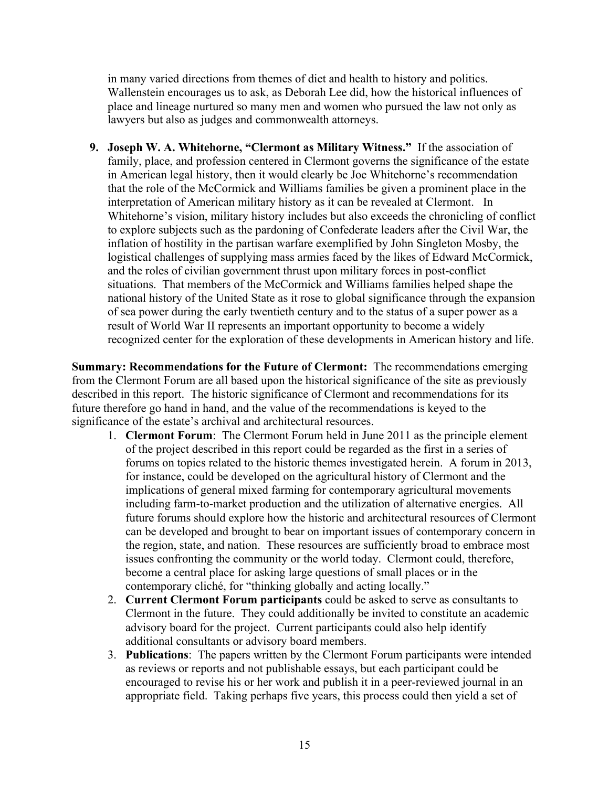in many varied directions from themes of diet and health to history and politics. Wallenstein encourages us to ask, as Deborah Lee did, how the historical influences of place and lineage nurtured so many men and women who pursued the law not only as lawyers but also as judges and commonwealth attorneys.

**9. Joseph W. A. Whitehorne, "Clermont as Military Witness."** If the association of family, place, and profession centered in Clermont governs the significance of the estate in American legal history, then it would clearly be Joe Whitehorne's recommendation that the role of the McCormick and Williams families be given a prominent place in the interpretation of American military history as it can be revealed at Clermont. In Whitehorne's vision, military history includes but also exceeds the chronicling of conflict to explore subjects such as the pardoning of Confederate leaders after the Civil War, the inflation of hostility in the partisan warfare exemplified by John Singleton Mosby, the logistical challenges of supplying mass armies faced by the likes of Edward McCormick, and the roles of civilian government thrust upon military forces in post-conflict situations. That members of the McCormick and Williams families helped shape the national history of the United State as it rose to global significance through the expansion of sea power during the early twentieth century and to the status of a super power as a result of World War II represents an important opportunity to become a widely recognized center for the exploration of these developments in American history and life.

**Summary: Recommendations for the Future of Clermont:** The recommendations emerging from the Clermont Forum are all based upon the historical significance of the site as previously described in this report. The historic significance of Clermont and recommendations for its future therefore go hand in hand, and the value of the recommendations is keyed to the significance of the estate's archival and architectural resources.

- 1. **Clermont Forum**: The Clermont Forum held in June 2011 as the principle element of the project described in this report could be regarded as the first in a series of forums on topics related to the historic themes investigated herein. A forum in 2013, for instance, could be developed on the agricultural history of Clermont and the implications of general mixed farming for contemporary agricultural movements including farm-to-market production and the utilization of alternative energies. All future forums should explore how the historic and architectural resources of Clermont can be developed and brought to bear on important issues of contemporary concern in the region, state, and nation. These resources are sufficiently broad to embrace most issues confronting the community or the world today. Clermont could, therefore, become a central place for asking large questions of small places or in the contemporary cliché, for "thinking globally and acting locally."
- 2. **Current Clermont Forum participants** could be asked to serve as consultants to Clermont in the future. They could additionally be invited to constitute an academic advisory board for the project. Current participants could also help identify additional consultants or advisory board members.
- 3. **Publications**: The papers written by the Clermont Forum participants were intended as reviews or reports and not publishable essays, but each participant could be encouraged to revise his or her work and publish it in a peer-reviewed journal in an appropriate field. Taking perhaps five years, this process could then yield a set of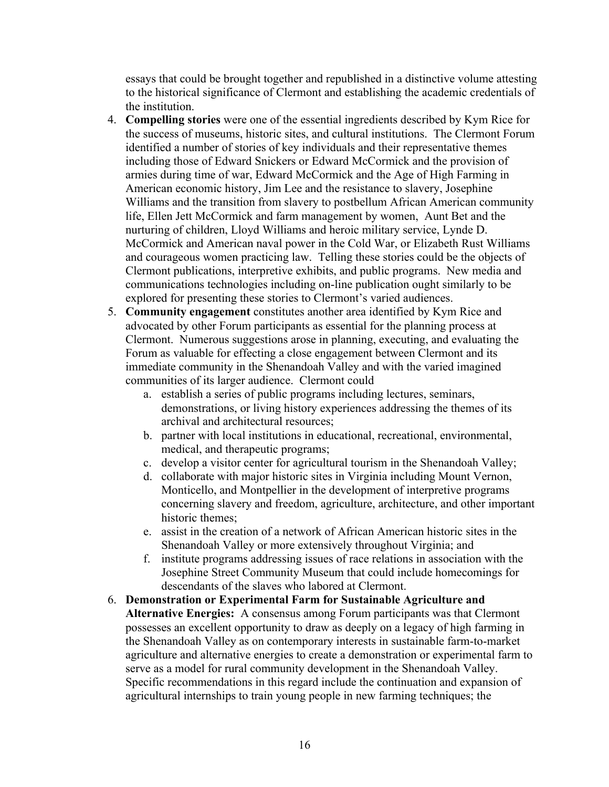essays that could be brought together and republished in a distinctive volume attesting to the historical significance of Clermont and establishing the academic credentials of the institution.

- 4. **Compelling stories** were one of the essential ingredients described by Kym Rice for the success of museums, historic sites, and cultural institutions. The Clermont Forum identified a number of stories of key individuals and their representative themes including those of Edward Snickers or Edward McCormick and the provision of armies during time of war, Edward McCormick and the Age of High Farming in American economic history, Jim Lee and the resistance to slavery, Josephine Williams and the transition from slavery to postbellum African American community life, Ellen Jett McCormick and farm management by women, Aunt Bet and the nurturing of children, Lloyd Williams and heroic military service, Lynde D. McCormick and American naval power in the Cold War, or Elizabeth Rust Williams and courageous women practicing law. Telling these stories could be the objects of Clermont publications, interpretive exhibits, and public programs. New media and communications technologies including on-line publication ought similarly to be explored for presenting these stories to Clermont's varied audiences.
- 5. **Community engagement** constitutes another area identified by Kym Rice and advocated by other Forum participants as essential for the planning process at Clermont. Numerous suggestions arose in planning, executing, and evaluating the Forum as valuable for effecting a close engagement between Clermont and its immediate community in the Shenandoah Valley and with the varied imagined communities of its larger audience. Clermont could
	- a. establish a series of public programs including lectures, seminars, demonstrations, or living history experiences addressing the themes of its archival and architectural resources;
	- b. partner with local institutions in educational, recreational, environmental, medical, and therapeutic programs;
	- c. develop a visitor center for agricultural tourism in the Shenandoah Valley;
	- d. collaborate with major historic sites in Virginia including Mount Vernon, Monticello, and Montpellier in the development of interpretive programs concerning slavery and freedom, agriculture, architecture, and other important historic themes;
	- e. assist in the creation of a network of African American historic sites in the Shenandoah Valley or more extensively throughout Virginia; and
	- f. institute programs addressing issues of race relations in association with the Josephine Street Community Museum that could include homecomings for descendants of the slaves who labored at Clermont.
- 6. **Demonstration or Experimental Farm for Sustainable Agriculture and Alternative Energies:** A consensus among Forum participants was that Clermont possesses an excellent opportunity to draw as deeply on a legacy of high farming in the Shenandoah Valley as on contemporary interests in sustainable farm-to-market agriculture and alternative energies to create a demonstration or experimental farm to serve as a model for rural community development in the Shenandoah Valley. Specific recommendations in this regard include the continuation and expansion of agricultural internships to train young people in new farming techniques; the